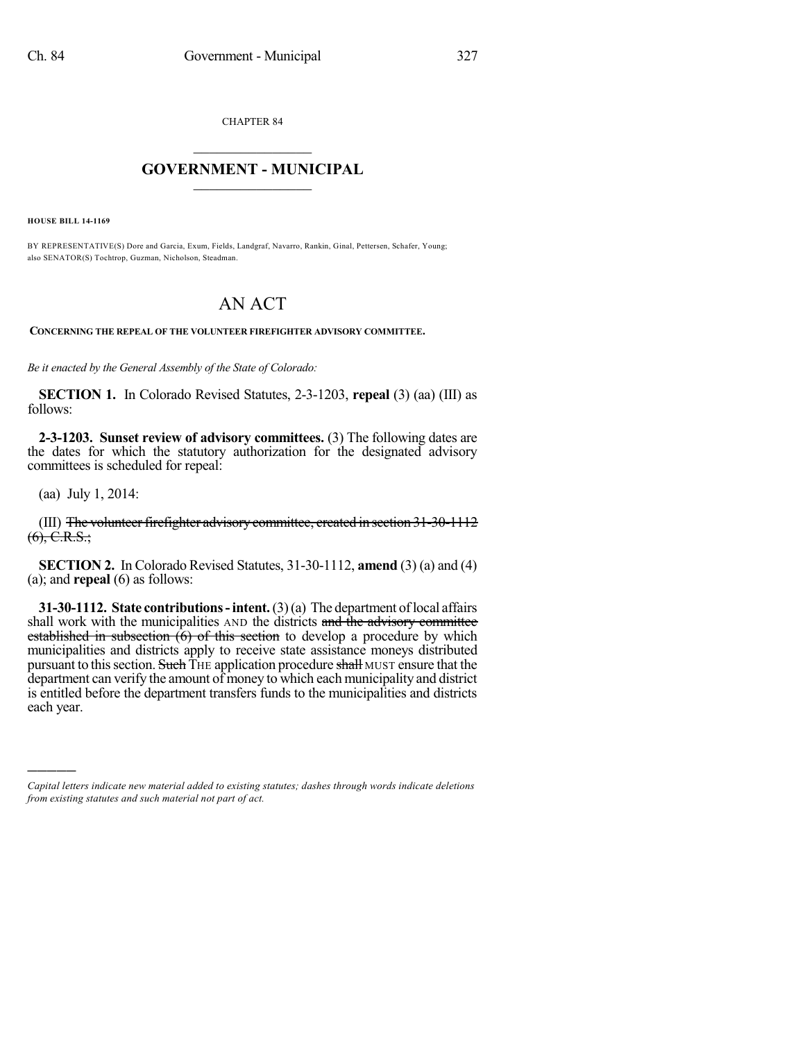CHAPTER 84

## $\overline{\phantom{a}}$  . The set of the set of the set of the set of the set of the set of the set of the set of the set of the set of the set of the set of the set of the set of the set of the set of the set of the set of the set o **GOVERNMENT - MUNICIPAL**  $\_$

**HOUSE BILL 14-1169**

BY REPRESENTATIVE(S) Dore and Garcia, Exum, Fields, Landgraf, Navarro, Rankin, Ginal, Pettersen, Schafer, Young; also SENATOR(S) Tochtrop, Guzman, Nicholson, Steadman.

## AN ACT

**CONCERNING THE REPEAL OF THE VOLUNTEER FIREFIGHTER ADVISORY COMMITTEE.**

*Be it enacted by the General Assembly of the State of Colorado:*

**SECTION 1.** In Colorado Revised Statutes, 2-3-1203, **repeal** (3) (aa) (III) as follows:

**2-3-1203. Sunset review of advisory committees.** (3) The following dates are the dates for which the statutory authorization for the designated advisory committees is scheduled for repeal:

(aa) July 1, 2014:

)))))

(III) The volunteer firefighter advisory committee, created in section  $31-30-1112$  $(6), C.R.S.:$ 

**SECTION 2.** In Colorado Revised Statutes, 31-30-1112, **amend** (3) (a) and (4) (a); and **repeal** (6) as follows:

**31-30-1112. State contributions-intent.**(3)(a) The department oflocal affairs shall work with the municipalities AND the districts and the advisory committee established in subsection  $(6)$  of this section to develop a procedure by which municipalities and districts apply to receive state assistance moneys distributed pursuant to this section. Such THE application procedure shall MUST ensure that the department can verify the amount of money to which each municipality and district is entitled before the department transfers funds to the municipalities and districts each year.

*Capital letters indicate new material added to existing statutes; dashes through words indicate deletions from existing statutes and such material not part of act.*